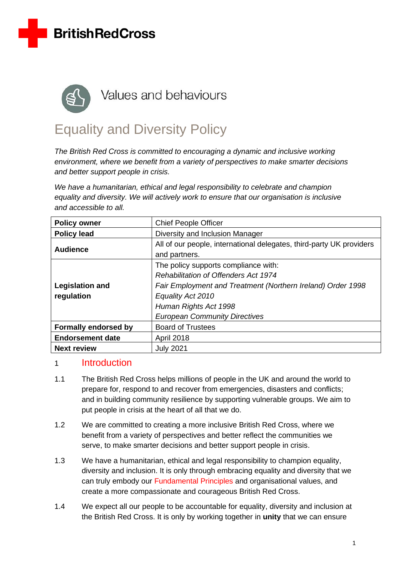



# Equality and Diversity Policy

*The British Red Cross is committed to encouraging a dynamic and inclusive working environment, where we benefit from a variety of perspectives to make smarter decisions and better support people in crisis.* 

*We have a humanitarian, ethical and legal responsibility to celebrate and champion equality and diversity. We will actively work to ensure that our organisation is inclusive and accessible to all.*

| <b>Policy owner</b>                  | <b>Chief People Officer</b>                                                                                                                                                                                                              |  |  |
|--------------------------------------|------------------------------------------------------------------------------------------------------------------------------------------------------------------------------------------------------------------------------------------|--|--|
| <b>Policy lead</b>                   | Diversity and Inclusion Manager                                                                                                                                                                                                          |  |  |
| <b>Audience</b>                      | All of our people, international delegates, third-party UK providers<br>and partners.                                                                                                                                                    |  |  |
| <b>Legislation and</b><br>regulation | The policy supports compliance with:<br><b>Rehabilitation of Offenders Act 1974</b><br>Fair Employment and Treatment (Northern Ireland) Order 1998<br>Equality Act 2010<br>Human Rights Act 1998<br><b>European Community Directives</b> |  |  |
| <b>Formally endorsed by</b>          | <b>Board of Trustees</b>                                                                                                                                                                                                                 |  |  |
| <b>Endorsement date</b>              | April 2018                                                                                                                                                                                                                               |  |  |
| <b>Next review</b>                   | <b>July 2021</b>                                                                                                                                                                                                                         |  |  |

#### 1 Introduction

- 1.1 The British Red Cross helps millions of people in the UK and around the world to prepare for, respond to and recover from emergencies, disasters and conflicts; and in building community resilience by supporting vulnerable groups. We aim to put people in crisis at the heart of all that we do.
- 1.2 We are committed to creating a more inclusive British Red Cross, where we benefit from a variety of perspectives and better reflect the communities we serve, to make smarter decisions and better support people in crisis.
- 1.3 We have a humanitarian, ethical and legal responsibility to champion equality, diversity and inclusion. It is only through embracing equality and diversity that we can truly embody our [Fundamental Principles](http://www.redcross.org.uk/About-us/Who-we-are/The-international-Movement/Fundamental-principles) and organisational values, and create a more compassionate and courageous British Red Cross.
- 1.4 We expect all our people to be accountable for equality, diversity and inclusion at the British Red Cross. It is only by working together in **unity** that we can ensure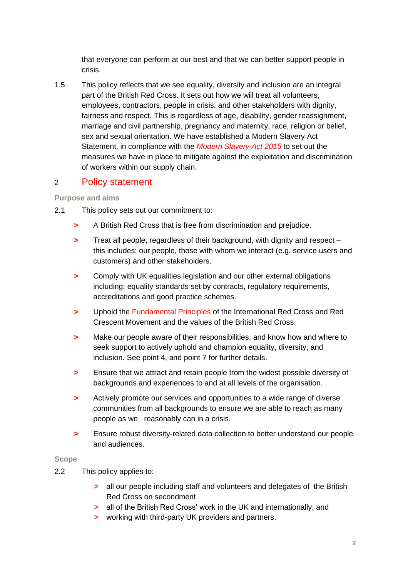that everyone can perform at our best and that we can better support people in crisis.

1.5 This policy reflects that we see equality, diversity and inclusion are an integral part of the British Red Cross. It sets out how we will treat all volunteers, employees, contractors, people in crisis, and other stakeholders with dignity, fairness and respect. This is regardless of age, disability, gender reassignment, marriage and civil partnership, pregnancy and maternity, race, religion or belief, sex and sexual orientation. We have established a Modern Slavery Act Statement, in compliance with the *[Modern Slavery Act 2015](https://britishredcross.interactgo.com/Interact/Pages/Content/Document.aspx?id=7160)* to set out the measures we have in place to mitigate against the exploitation and discrimination of workers within our supply chain.

#### 2 Policy statement

#### **Purpose and aims**

- 2.1 This policy sets out our commitment to:
	- **>** A British Red Cross that is free from discrimination and prejudice.
	- **>** Treat all people, regardless of their background, with dignity and respect this includes: our people, those with whom we interact (e.g. service users and customers) and other stakeholders.
	- **>** Comply with UK equalities legislation and our other external obligations including: equality standards set by contracts, regulatory requirements, accreditations and good practice schemes.
	- **>** Uphold the [Fundamental Principles](http://www.redcross.org.uk/principles) of the International Red Cross and Red Crescent Movement and the values of the British Red Cross.
	- **>** Make our people aware of their responsibilities, and know how and where to seek support to actively uphold and champion equality, diversity, and inclusion. See point 4, and point 7 for further details.
	- **>** Ensure that we attract and retain people from the widest possible diversity of backgrounds and experiences to and at all levels of the organisation.
	- **>** Actively promote our services and opportunities to a wide range of diverse communities from all backgrounds to ensure we are able to reach as many people as we reasonably can in a crisis.
	- **>** Ensure robust diversity-related data collection to better understand our people and audiences.

#### **Scope**

- 2.2 This policy applies to:
	- **>** all our people including staff and volunteers and delegates of the British Red Cross on secondment
	- **>** all of the British Red Cross' work in the UK and internationally; and
	- **>** working with third-party UK providers and partners.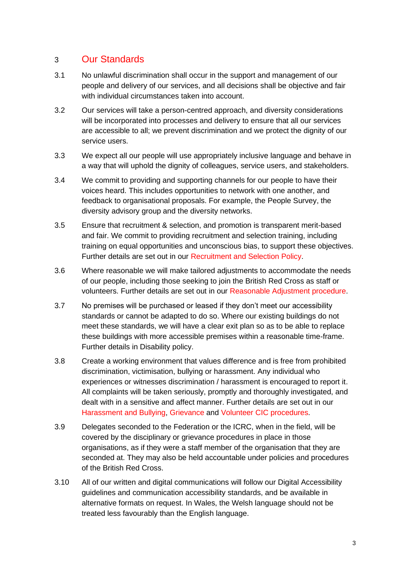### 3 Our Standards

- 3.1 No unlawful discrimination shall occur in the support and management of our people and delivery of our services, and all decisions shall be objective and fair with individual circumstances taken into account.
- 3.2 Our services will take a person-centred approach, and diversity considerations will be incorporated into processes and delivery to ensure that all our services are accessible to all; we prevent discrimination and we protect the dignity of our service users.
- 3.3 We expect all our people will use appropriately inclusive language and behave in a way that will uphold the dignity of colleagues, service users, and stakeholders.
- 3.4 We commit to providing and supporting channels for our people to have their voices heard. This includes opportunities to network with one another, and feedback to organisational proposals. For example, the People Survey, the diversity advisory group and the diversity networks.
- 3.5 Ensure that recruitment & selection, and promotion is transparent merit-based and fair. We commit to providing recruitment and selection training, including training on equal opportunities and unconscious bias, to support these objectives. Further details are set out in our [Recruitment and Selection Policy.](https://britishredcross.interactgo.com/Interact/Pages/Content/Document.aspx?id=1805)
- 3.6 Where reasonable we will make tailored adjustments to accommodate the needs of our people, including those seeking to join the British Red Cross as staff or volunteers. Further details are set out in our [Reasonable Adjustment procedure.](https://britishredcross.interactgo.com/Interact/Pages/Content/Document.aspx?id=2623)
- 3.7 No premises will be purchased or leased if they don't meet our accessibility standards or cannot be adapted to do so. Where our existing buildings do not meet these standards, we will have a clear exit plan so as to be able to replace these buildings with more accessible premises within a reasonable time-frame. Further details in Disability policy.
- 3.8 Create a working environment that values difference and is free from prohibited discrimination, victimisation, bullying or harassment. Any individual who experiences or witnesses discrimination / harassment is encouraged to report it. All complaints will be taken seriously, promptly and thoroughly investigated, and dealt with in a sensitive and affect manner. Further details are set out in our [Harassment and Bullying,](https://britishredcross.interactgo.com/Interact/Pages/Content/Document.aspx?id=1218) [Grievance](https://britishredcross.interactgo.com/interact/Pages/Content/Document.aspx?id=1201) and [Volunteer CIC procedures.](https://britishredcross.interactgo.com/Interact/Pages/Content/Document.aspx?id=3936)
- 3.9 Delegates seconded to the Federation or the ICRC, when in the field, will be covered by the disciplinary or grievance procedures in place in those organisations, as if they were a staff member of the organisation that they are seconded at. They may also be held accountable under policies and procedures of the British Red Cross.
- 3.10 All of our written and digital communications will follow our Digital Accessibility guidelines and communication accessibility standards, and be available in alternative formats on request. In Wales, the Welsh language should not be treated less favourably than the English language.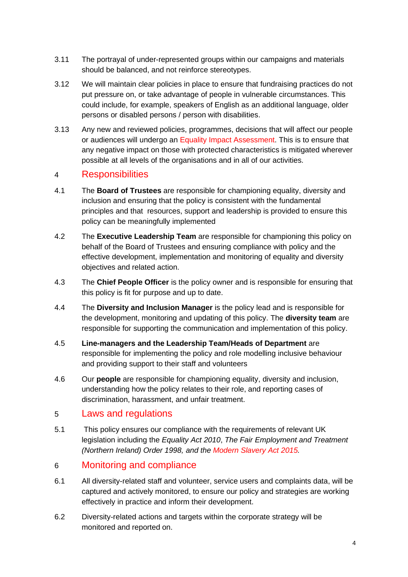- 3.11 The portrayal of under-represented groups within our campaigns and materials should be balanced, and not reinforce stereotypes.
- 3.12 We will maintain clear policies in place to ensure that fundraising practices do not put pressure on, or take advantage of people in vulnerable circumstances. This could include, for example, speakers of English as an additional language, older persons or disabled persons / person with disabilities.
- 3.13 Any new and reviewed policies, programmes, decisions that will affect our people or audiences will undergo an [Equality Impact Assessment.](https://britishredcross.interactgo.com/Interact/Pages/Content/Document.aspx?id=9500&SearchId=) This is to ensure that any negative impact on those with protected characteristics is mitigated wherever possible at all levels of the organisations and in all of our activities.

#### 4 Responsibilities

- 4.1 The **Board of Trustees** are responsible for championing equality, diversity and inclusion and ensuring that the policy is consistent with the fundamental principles and that resources, support and leadership is provided to ensure this policy can be meaningfully implemented
- 4.2 The **Executive Leadership Team** are responsible for championing this policy on behalf of the Board of Trustees and ensuring compliance with policy and the effective development, implementation and monitoring of equality and diversity objectives and related action.
- 4.3 The **Chief People Officer** is the policy owner and is responsible for ensuring that this policy is fit for purpose and up to date.
- 4.4 The **Diversity and Inclusion Manager** is the policy lead and is responsible for the development, monitoring and updating of this policy. The **diversity team** are responsible for supporting the communication and implementation of this policy.
- 4.5 **Line-managers and the Leadership Team/Heads of Department** are responsible for implementing the policy and role modelling inclusive behaviour and providing support to their staff and volunteers
- 4.6 Our **people** are responsible for championing equality, diversity and inclusion, understanding how the policy relates to their role, and reporting cases of discrimination, harassment, and unfair treatment.

#### 5 Laws and regulations

5.1 This policy ensures our compliance with the requirements of relevant UK legislation including the *Equality Act 2010*, *The Fair Employment and Treatment (Northern Ireland) Order 1998, and the [Modern Slavery Act 2015.](https://britishredcross.interactgo.com/Interact/Pages/Content/Document.aspx?id=7160)*

### 6 Monitoring and compliance

- 6.1 All diversity-related staff and volunteer, service users and complaints data, will be captured and actively monitored, to ensure our policy and strategies are working effectively in practice and inform their development.
- 6.2 Diversity-related actions and targets within the corporate strategy will be monitored and reported on.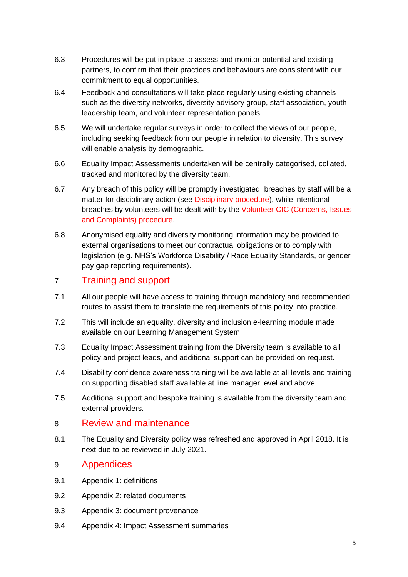- 6.3 Procedures will be put in place to assess and monitor potential and existing partners, to confirm that their practices and behaviours are consistent with our commitment to equal opportunities.
- 6.4 Feedback and consultations will take place regularly using existing channels such as the diversity networks, diversity advisory group, staff association, youth leadership team, and volunteer representation panels.
- 6.5 We will undertake regular surveys in order to collect the views of our people, including seeking feedback from our people in relation to diversity. This survey will enable analysis by demographic.
- 6.6 Equality Impact Assessments undertaken will be centrally categorised, collated, tracked and monitored by the diversity team.
- 6.7 Any breach of this policy will be promptly investigated; breaches by staff will be a matter for disciplinary action (see [Disciplinary procedure\)](https://britishredcross.interactgo.com/Interact/Pages/Content/Document.aspx?id=1108), while intentional breaches by volunteers will be dealt with by the Volunteer CIC [\(Concerns, Issues](https://britishredcross.interactgo.com/Interact/Pages/Content/Document.aspx?id=3936&SearchId=)  [and Complaints\)](https://britishredcross.interactgo.com/Interact/Pages/Content/Document.aspx?id=3936&SearchId=) procedure.
- 6.8 Anonymised equality and diversity monitoring information may be provided to external organisations to meet our contractual obligations or to comply with legislation (e.g. NHS's Workforce Disability / Race Equality Standards, or gender pay gap reporting requirements).

### 7 Training and support

- 7.1 All our people will have access to training through mandatory and recommended routes to assist them to translate the requirements of this policy into practice.
- 7.2 This will include an equality, diversity and inclusion e-learning module made available on our Learning Management System.
- 7.3 Equality Impact Assessment training from the Diversity team is available to all policy and project leads, and additional support can be provided on request.
- 7.4 Disability confidence awareness training will be available at all levels and training on supporting disabled staff available at line manager level and above.
- 7.5 Additional support and bespoke training is available from the diversity team and external providers.

#### 8 Review and maintenance

8.1 The Equality and Diversity policy was refreshed and approved in April 2018. It is next due to be reviewed in July 2021.

#### 9 Appendices

- 9.1 Appendix 1: definitions
- 9.2 Appendix 2: related documents
- 9.3 Appendix 3: document provenance
- 9.4 Appendix 4: Impact Assessment summaries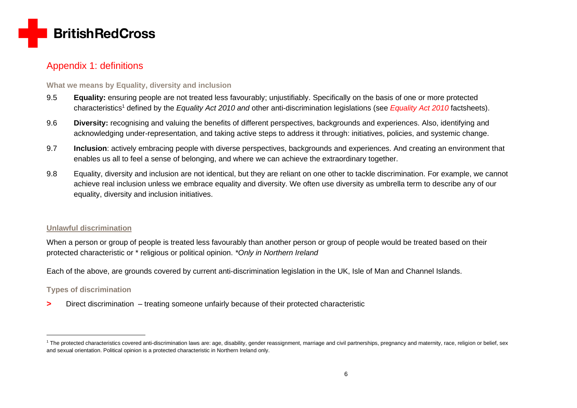

### Appendix 1: definitions

#### **What we means by Equality, diversity and inclusion**

- 9.5 **Equality:** ensuring people are not treated less favourably; unjustifiably. Specifically on the basis of one or more protected characteristics<sup>1</sup> defined by the *[Equality Act 2010](https://britishredcross.interactgo.com/Interact/Pages/Content/Document.aspx?id=4431) and* other anti-discrimination legislations (see *Equality Act 2010* factsheets).
- 9.6 **Diversity:** recognising and valuing the benefits of different perspectives, backgrounds and experiences. Also, identifying and acknowledging under-representation, and taking active steps to address it through: initiatives, policies, and systemic change.
- 9.7 **Inclusion**: actively embracing people with diverse perspectives, backgrounds and experiences. And creating an environment that enables us all to feel a sense of belonging, and where we can achieve the extraordinary together.
- 9.8 Equality, diversity and inclusion are not identical, but they are reliant on one other to tackle discrimination. For example, we cannot achieve real inclusion unless we embrace equality and diversity. We often use diversity as umbrella term to describe any of our equality, diversity and inclusion initiatives.

#### **Unlawful discrimination**

When a person or group of people is treated less favourably than another person or group of people would be treated based on their protected characteristic or \* religious or political opinion. *\*Only in Northern Ireland*

Each of the above, are grounds covered by current anti-discrimination legislation in the UK, Isle of Man and Channel Islands.

#### **Types of discrimination**

**>** Direct discrimination – treating someone unfairly because of their protected characteristic

<sup>&</sup>lt;sup>1</sup> The protected characteristics covered anti-discrimination laws are: age, disability, gender reassignment, marriage and civil partnerships, pregnancy and maternity, race, religion or belief, sex and sexual orientation. Political opinion is a protected characteristic in Northern Ireland only.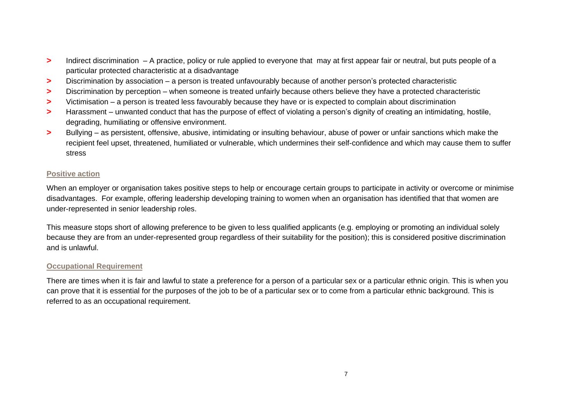- **>** Indirect discrimination A practice, policy or rule applied to everyone that may at first appear fair or neutral, but puts people of a particular protected characteristic at a disadvantage
- **>** Discrimination by association a person is treated unfavourably because of another person's protected characteristic
- **>** Discrimination by perception when someone is treated unfairly because others believe they have a protected characteristic
- **>** Victimisation a person is treated less favourably because they have or is expected to complain about discrimination
- **>** Harassment unwanted conduct that has the purpose of effect of violating a person's dignity of creating an intimidating, hostile, degrading, humiliating or offensive environment.
- **>** Bullying as persistent, offensive, abusive, intimidating or insulting behaviour, abuse of power or unfair sanctions which make the recipient feel upset, threatened, humiliated or vulnerable, which undermines their self-confidence and which may cause them to suffer stress

#### **Positive action**

When an employer or organisation takes positive steps to help or encourage certain groups to participate in activity or overcome or minimise disadvantages. For example, offering leadership developing training to women when an organisation has identified that that women are under-represented in senior leadership roles.

This measure stops short of allowing preference to be given to less qualified applicants (e.g. employing or promoting an individual solely because they are from an under-represented group regardless of their suitability for the position); this is considered positive discrimination and is unlawful.

#### **Occupational Requirement**

There are times when it is fair and lawful to state a preference for a person of a particular sex or a particular ethnic origin. This is when you can prove that it is essential for the purposes of the job to be of a particular sex or to come from a particular ethnic background. This is referred to as an occupational requirement.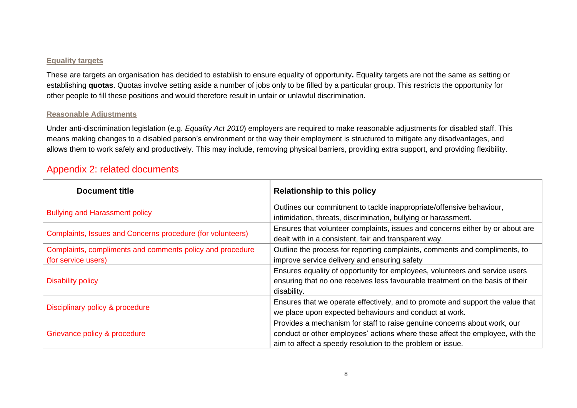#### **Equality targets**

These are targets an organisation has decided to establish to ensure equality of opportunity**.** Equality targets are not the same as setting or establishing **quotas**. Quotas involve setting aside a number of jobs only to be filled by a particular group. This restricts the opportunity for other people to fill these positions and would therefore result in unfair or unlawful discrimination.

#### **Reasonable Adjustments**

Under anti-discrimination legislation (e.g. *Equality Act 2010*) employers are required to make reasonable adjustments for disabled staff. This means making changes to a disabled person's environment or the way their employment is structured to mitigate any disadvantages, and allows them to work safely and productively. This may include, removing physical barriers, providing extra support, and providing flexibility.

### Appendix 2: related documents

| <b>Document title</b>                                                            | <b>Relationship to this policy</b>                                                                                                                                                                                      |  |  |
|----------------------------------------------------------------------------------|-------------------------------------------------------------------------------------------------------------------------------------------------------------------------------------------------------------------------|--|--|
| <b>Bullying and Harassment policy</b>                                            | Outlines our commitment to tackle inappropriate/offensive behaviour,<br>intimidation, threats, discrimination, bullying or harassment.                                                                                  |  |  |
| Complaints, Issues and Concerns procedure (for volunteers)                       | Ensures that volunteer complaints, issues and concerns either by or about are<br>dealt with in a consistent, fair and transparent way.                                                                                  |  |  |
| Complaints, compliments and comments policy and procedure<br>(for service users) | Outline the process for reporting complaints, comments and compliments, to<br>improve service delivery and ensuring safety                                                                                              |  |  |
| <b>Disability policy</b>                                                         | Ensures equality of opportunity for employees, volunteers and service users<br>ensuring that no one receives less favourable treatment on the basis of their<br>disability.                                             |  |  |
| Disciplinary policy & procedure                                                  | Ensures that we operate effectively, and to promote and support the value that<br>we place upon expected behaviours and conduct at work.                                                                                |  |  |
| Grievance policy & procedure                                                     | Provides a mechanism for staff to raise genuine concerns about work, our<br>conduct or other employees' actions where these affect the employee, with the<br>aim to affect a speedy resolution to the problem or issue. |  |  |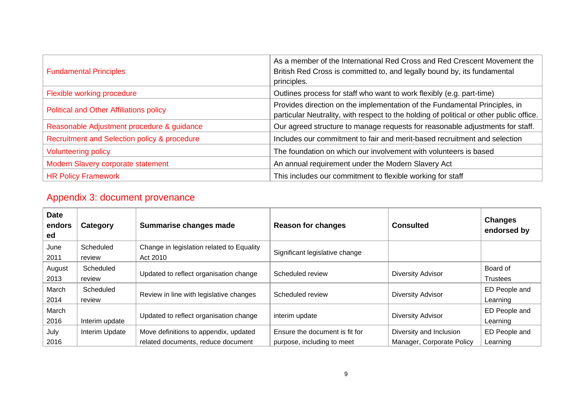| <b>Fundamental Principles</b>                  | As a member of the International Red Cross and Red Crescent Movement the<br>British Red Cross is committed to, and legally bound by, its fundamental<br>principles.   |
|------------------------------------------------|-----------------------------------------------------------------------------------------------------------------------------------------------------------------------|
| Flexible working procedure                     | Outlines process for staff who want to work flexibly (e.g. part-time)                                                                                                 |
| <b>Political and Other Affiliations policy</b> | Provides direction on the implementation of the Fundamental Principles, in<br>particular Neutrality, with respect to the holding of political or other public office. |
| Reasonable Adjustment procedure & guidance     | Our agreed structure to manage requests for reasonable adjustments for staff.                                                                                         |
| Recruitment and Selection policy & procedure   | Includes our commitment to fair and merit-based recruitment and selection                                                                                             |
| <b>Volunteering policy</b>                     | The foundation on which our involvement with volunteers is based                                                                                                      |
| Modern Slavery corporate statement             | An annual requirement under the Modern Slavery Act                                                                                                                    |
| <b>HR Policy Framework</b>                     | This includes our commitment to flexible working for staff                                                                                                            |

## Appendix 3: document provenance

| <b>Date</b><br>endors<br>ed | Category            | Summarise changes made                                                      | <b>Reason for changes</b>                                    | <b>Consulted</b>                                     | <b>Changes</b><br>endorsed by |
|-----------------------------|---------------------|-----------------------------------------------------------------------------|--------------------------------------------------------------|------------------------------------------------------|-------------------------------|
| June<br>2011                | Scheduled<br>review | Change in legislation related to Equality<br>Act 2010                       | Significant legislative change                               |                                                      |                               |
| August<br>2013              | Scheduled<br>review | Updated to reflect organisation change                                      | Scheduled review                                             | <b>Diversity Advisor</b>                             | Board of<br><b>Trustees</b>   |
| March<br>2014               | Scheduled<br>review | Review in line with legislative changes                                     | Scheduled review                                             | <b>Diversity Advisor</b>                             | ED People and<br>Learning     |
| March<br>2016               | Interim update      | Updated to reflect organisation change                                      | interim update                                               | Diversity Advisor                                    | ED People and<br>Learning     |
| July<br>2016                | Interim Update      | Move definitions to appendix, updated<br>related documents, reduce document | Ensure the document is fit for<br>purpose, including to meet | Diversity and Inclusion<br>Manager, Corporate Policy | ED People and<br>Learning     |